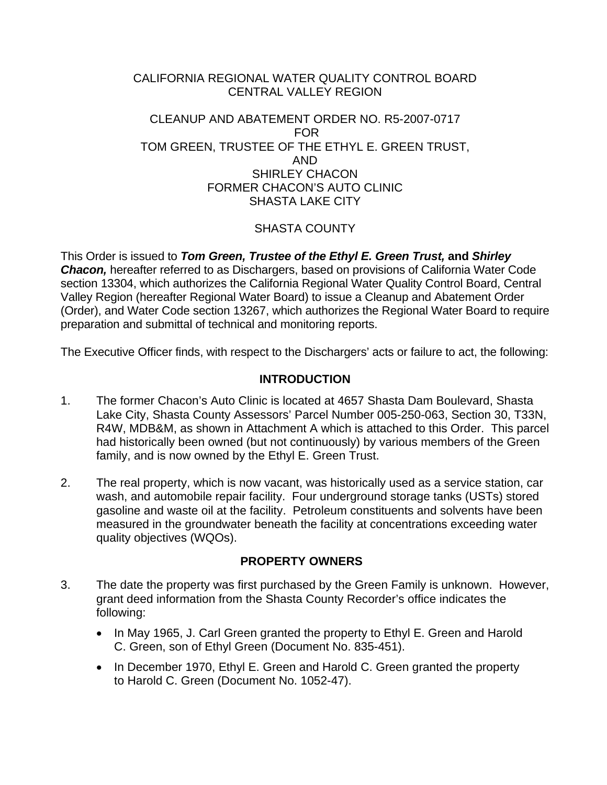#### CALIFORNIA REGIONAL WATER QUALITY CONTROL BOARD CENTRAL VALLEY REGION

#### CLEANUP AND ABATEMENT ORDER NO. R5-2007-0717 FOR TOM GREEN, TRUSTEE OF THE ETHYL E. GREEN TRUST, AND SHIRLEY CHACON FORMER CHACON'S AUTO CLINIC SHASTA LAKE CITY

## SHASTA COUNTY

This Order is issued to *Tom Green, Trustee of the Ethyl E. Green Trust,* **and** *Shirley*  **Chacon,** hereafter referred to as Dischargers, based on provisions of California Water Code section 13304, which authorizes the California Regional Water Quality Control Board, Central Valley Region (hereafter Regional Water Board) to issue a Cleanup and Abatement Order (Order), and Water Code section 13267, which authorizes the Regional Water Board to require preparation and submittal of technical and monitoring reports.

The Executive Officer finds, with respect to the Dischargers' acts or failure to act, the following:

#### **INTRODUCTION**

- 1. The former Chacon's Auto Clinic is located at 4657 Shasta Dam Boulevard, Shasta Lake City, Shasta County Assessors' Parcel Number 005-250-063, Section 30, T33N, R4W, MDB&M, as shown in Attachment A which is attached to this Order. This parcel had historically been owned (but not continuously) by various members of the Green family, and is now owned by the Ethyl E. Green Trust.
- 2. The real property, which is now vacant, was historically used as a service station, car wash, and automobile repair facility. Four underground storage tanks (USTs) stored gasoline and waste oil at the facility. Petroleum constituents and solvents have been measured in the groundwater beneath the facility at concentrations exceeding water quality objectives (WQOs).

#### **PROPERTY OWNERS**

- 3. The date the property was first purchased by the Green Family is unknown. However, grant deed information from the Shasta County Recorder's office indicates the following:
	- In May 1965, J. Carl Green granted the property to Ethyl E. Green and Harold C. Green, son of Ethyl Green (Document No. 835-451).
	- In December 1970, Ethyl E. Green and Harold C. Green granted the property to Harold C. Green (Document No. 1052-47).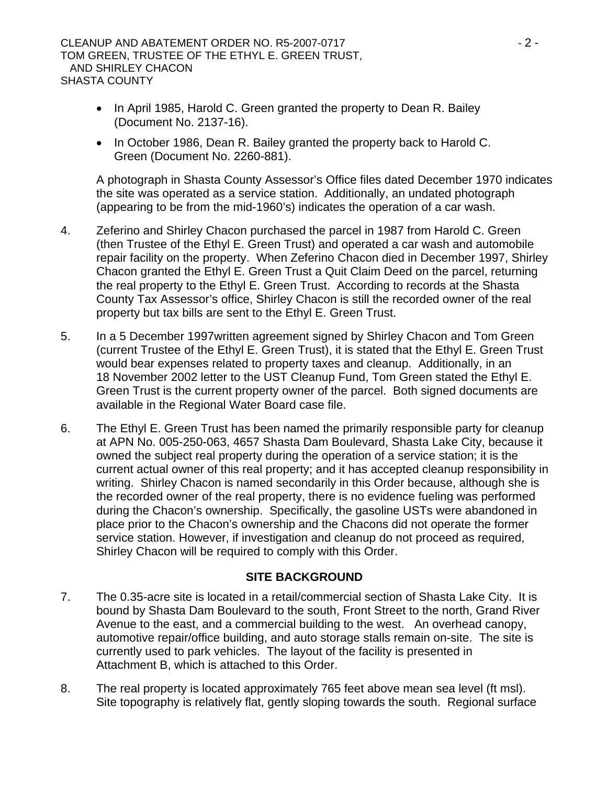#### CLEANUP AND ABATEMENT ORDER NO. R5-2007-0717 **ACCLEANUP AND ABATEMENT ORDER NO. R5-2007-0717** TOM GREEN, TRUSTEE OF THE ETHYL E. GREEN TRUST, AND SHIRLEY CHACON SHASTA COUNTY

- In April 1985, Harold C. Green granted the property to Dean R. Bailey (Document No. 2137-16).
- In October 1986, Dean R. Bailey granted the property back to Harold C. Green (Document No. 2260-881).

A photograph in Shasta County Assessor's Office files dated December 1970 indicates the site was operated as a service station. Additionally, an undated photograph (appearing to be from the mid-1960's) indicates the operation of a car wash.

- 4. Zeferino and Shirley Chacon purchased the parcel in 1987 from Harold C. Green (then Trustee of the Ethyl E. Green Trust) and operated a car wash and automobile repair facility on the property. When Zeferino Chacon died in December 1997, Shirley Chacon granted the Ethyl E. Green Trust a Quit Claim Deed on the parcel, returning the real property to the Ethyl E. Green Trust. According to records at the Shasta County Tax Assessor's office, Shirley Chacon is still the recorded owner of the real property but tax bills are sent to the Ethyl E. Green Trust.
- 5. In a 5 December 1997written agreement signed by Shirley Chacon and Tom Green (current Trustee of the Ethyl E. Green Trust), it is stated that the Ethyl E. Green Trust would bear expenses related to property taxes and cleanup. Additionally, in an 18 November 2002 letter to the UST Cleanup Fund, Tom Green stated the Ethyl E. Green Trust is the current property owner of the parcel. Both signed documents are available in the Regional Water Board case file.
- 6. The Ethyl E. Green Trust has been named the primarily responsible party for cleanup at APN No. 005-250-063, 4657 Shasta Dam Boulevard, Shasta Lake City, because it owned the subject real property during the operation of a service station; it is the current actual owner of this real property; and it has accepted cleanup responsibility in writing. Shirley Chacon is named secondarily in this Order because, although she is the recorded owner of the real property, there is no evidence fueling was performed during the Chacon's ownership. Specifically, the gasoline USTs were abandoned in place prior to the Chacon's ownership and the Chacons did not operate the former service station. However, if investigation and cleanup do not proceed as required, Shirley Chacon will be required to comply with this Order.

#### **SITE BACKGROUND**

- 7. The 0.35-acre site is located in a retail/commercial section of Shasta Lake City. It is bound by Shasta Dam Boulevard to the south, Front Street to the north, Grand River Avenue to the east, and a commercial building to the west. An overhead canopy, automotive repair/office building, and auto storage stalls remain on-site. The site is currently used to park vehicles. The layout of the facility is presented in Attachment B, which is attached to this Order.
- 8. The real property is located approximately 765 feet above mean sea level (ft msl). Site topography is relatively flat, gently sloping towards the south. Regional surface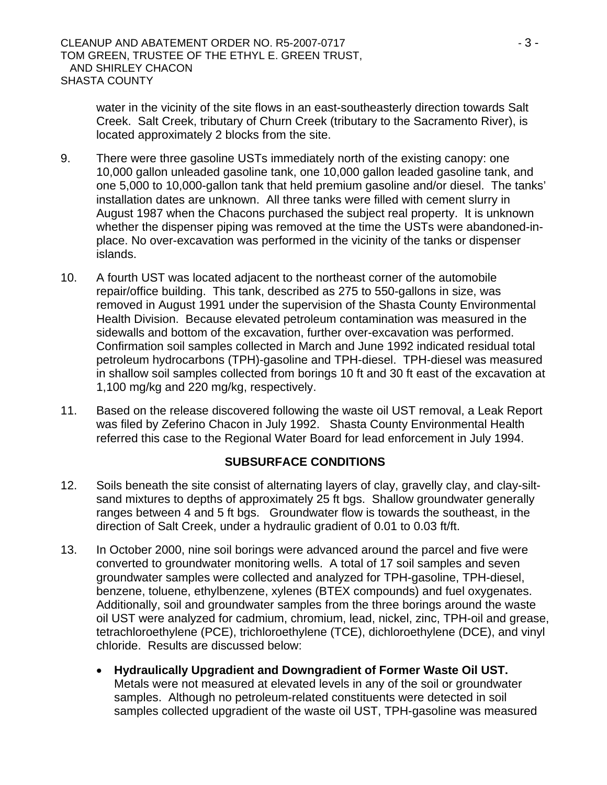water in the vicinity of the site flows in an east-southeasterly direction towards Salt Creek. Salt Creek, tributary of Churn Creek (tributary to the Sacramento River), is located approximately 2 blocks from the site.

- 9. There were three gasoline USTs immediately north of the existing canopy: one 10,000 gallon unleaded gasoline tank, one 10,000 gallon leaded gasoline tank, and one 5,000 to 10,000-gallon tank that held premium gasoline and/or diesel. The tanks' installation dates are unknown. All three tanks were filled with cement slurry in August 1987 when the Chacons purchased the subject real property. It is unknown whether the dispenser piping was removed at the time the USTs were abandoned-inplace. No over-excavation was performed in the vicinity of the tanks or dispenser islands.
- 10. A fourth UST was located adjacent to the northeast corner of the automobile repair/office building. This tank, described as 275 to 550-gallons in size, was removed in August 1991 under the supervision of the Shasta County Environmental Health Division. Because elevated petroleum contamination was measured in the sidewalls and bottom of the excavation, further over-excavation was performed. Confirmation soil samples collected in March and June 1992 indicated residual total petroleum hydrocarbons (TPH)-gasoline and TPH-diesel. TPH-diesel was measured in shallow soil samples collected from borings 10 ft and 30 ft east of the excavation at 1,100 mg/kg and 220 mg/kg, respectively.
- 11. Based on the release discovered following the waste oil UST removal, a Leak Report was filed by Zeferino Chacon in July 1992. Shasta County Environmental Health referred this case to the Regional Water Board for lead enforcement in July 1994.

#### **SUBSURFACE CONDITIONS**

- 12. Soils beneath the site consist of alternating layers of clay, gravelly clay, and clay-siltsand mixtures to depths of approximately 25 ft bgs. Shallow groundwater generally ranges between 4 and 5 ft bgs. Groundwater flow is towards the southeast, in the direction of Salt Creek, under a hydraulic gradient of 0.01 to 0.03 ft/ft.
- 13. In October 2000, nine soil borings were advanced around the parcel and five were converted to groundwater monitoring wells. A total of 17 soil samples and seven groundwater samples were collected and analyzed for TPH-gasoline, TPH-diesel, benzene, toluene, ethylbenzene, xylenes (BTEX compounds) and fuel oxygenates. Additionally, soil and groundwater samples from the three borings around the waste oil UST were analyzed for cadmium, chromium, lead, nickel, zinc, TPH-oil and grease, tetrachloroethylene (PCE), trichloroethylene (TCE), dichloroethylene (DCE), and vinyl chloride. Results are discussed below:
	- **Hydraulically Upgradient and Downgradient of Former Waste Oil UST.**  Metals were not measured at elevated levels in any of the soil or groundwater samples. Although no petroleum-related constituents were detected in soil samples collected upgradient of the waste oil UST, TPH-gasoline was measured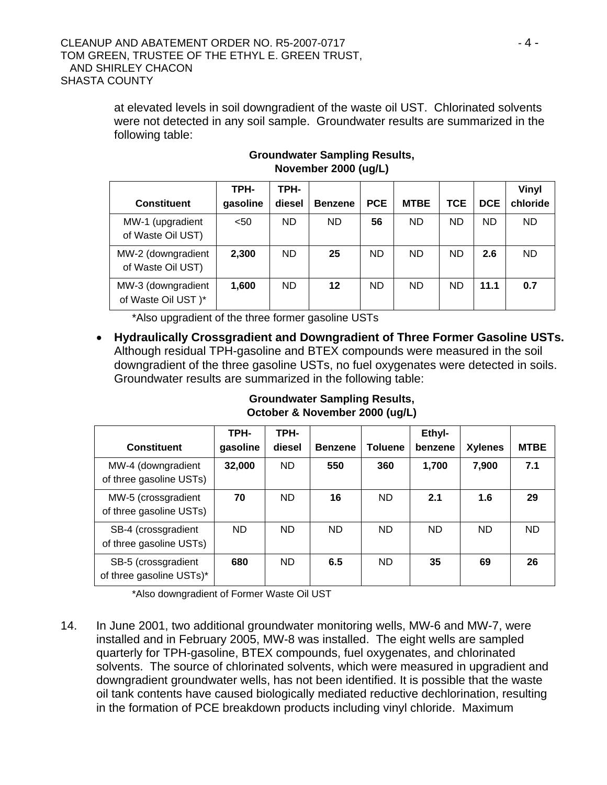at elevated levels in soil downgradient of the waste oil UST. Chlorinated solvents were not detected in any soil sample. Groundwater results are summarized in the following table:

|                                          | TPH-     | TPH-      |                |            |             |            |            | Vinyl     |
|------------------------------------------|----------|-----------|----------------|------------|-------------|------------|------------|-----------|
| <b>Constituent</b>                       | gasoline | diesel    | <b>Benzene</b> | <b>PCE</b> | <b>MTBE</b> | <b>TCE</b> | <b>DCE</b> | chloride  |
| MW-1 (upgradient<br>of Waste Oil UST)    | $50$     | <b>ND</b> | <b>ND</b>      | 56         | <b>ND</b>   | <b>ND</b>  | <b>ND</b>  | <b>ND</b> |
| MW-2 (downgradient<br>of Waste Oil UST)  | 2,300    | ND.       | 25             | <b>ND</b>  | <b>ND</b>   | <b>ND</b>  | 2.6        | <b>ND</b> |
| MW-3 (downgradient<br>of Waste Oil UST)* | 1.600    | ND.       | $12 \,$        | <b>ND</b>  | <b>ND</b>   | <b>ND</b>  | 11.1       | 0.7       |

### **Groundwater Sampling Results, November 2000 (ug/L)**

\*Also upgradient of the three former gasoline USTs

• **Hydraulically Crossgradient and Downgradient of Three Former Gasoline USTs.** Although residual TPH-gasoline and BTEX compounds were measured in the soil downgradient of the three gasoline USTs, no fuel oxygenates were detected in soils. Groundwater results are summarized in the following table:

**Groundwater Sampling Results,** 

| October & November 2000 (ug/L) |      |      |                                         |  |        |  |  |
|--------------------------------|------|------|-----------------------------------------|--|--------|--|--|
|                                | TPH- | TPH- |                                         |  | Ethyl- |  |  |
|                                |      |      | gocolina diocol Donzono Toluono bonzono |  |        |  |  |

|                                                 | TPH-     | TPH-   |                |                | Ethyl-    |                |             |
|-------------------------------------------------|----------|--------|----------------|----------------|-----------|----------------|-------------|
| <b>Constituent</b>                              | gasoline | diesel | <b>Benzene</b> | <b>Toluene</b> | benzene   | <b>Xylenes</b> | <b>MTBE</b> |
| MW-4 (downgradient<br>of three gasoline USTs)   | 32,000   | ND.    | 550            | 360            | 1,700     | 7,900          | 7.1         |
| MW-5 (crossgradient<br>of three gasoline USTs)  | 70       | ND.    | 16             | <b>ND</b>      | 2.1       | 1.6            | 29          |
| SB-4 (crossgradient<br>of three gasoline USTs)  | ND.      | ND.    | <b>ND</b>      | <b>ND</b>      | <b>ND</b> | <b>ND</b>      | ND.         |
| SB-5 (crossgradient<br>of three gasoline USTs)* | 680      | ND.    | 6.5            | <b>ND</b>      | 35        | 69             | 26          |

\*Also downgradient of Former Waste Oil UST

14. In June 2001, two additional groundwater monitoring wells, MW-6 and MW-7, were installed and in February 2005, MW-8 was installed. The eight wells are sampled quarterly for TPH-gasoline, BTEX compounds, fuel oxygenates, and chlorinated solvents. The source of chlorinated solvents, which were measured in upgradient and downgradient groundwater wells, has not been identified. It is possible that the waste oil tank contents have caused biologically mediated reductive dechlorination, resulting in the formation of PCE breakdown products including vinyl chloride. Maximum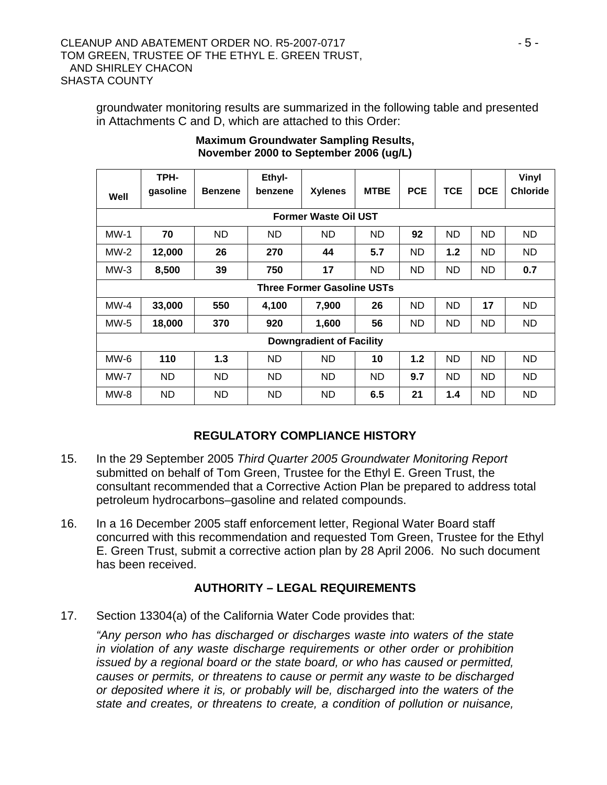groundwater monitoring results are summarized in the following table and presented in Attachments C and D, which are attached to this Order:

| Well                            | TPH-<br>gasoline                  | <b>Benzene</b> | Ethyl-<br>benzene | <b>Xylenes</b>              | <b>MTBE</b> | <b>PCE</b> | <b>TCE</b> | <b>DCE</b> | Vinyl<br><b>Chloride</b> |
|---------------------------------|-----------------------------------|----------------|-------------------|-----------------------------|-------------|------------|------------|------------|--------------------------|
|                                 |                                   |                |                   | <b>Former Waste Oil UST</b> |             |            |            |            |                          |
| $MW-1$                          | 70                                | <b>ND</b>      | ND                | <b>ND</b>                   | <b>ND</b>   | 92         | <b>ND</b>  | <b>ND</b>  | <b>ND</b>                |
| $MW-2$                          | 12,000                            | 26             | 270               | 44                          | 5.7         | <b>ND</b>  | 1.2        | ND.        | ND                       |
| $MW-3$                          | 8,500                             | 39             | 750               | 17                          | ND          | <b>ND</b>  | <b>ND</b>  | ND         | 0.7                      |
|                                 | <b>Three Former Gasoline USTs</b> |                |                   |                             |             |            |            |            |                          |
| $MW-4$                          | 33,000                            | 550            | 4,100             | 7,900                       | 26          | <b>ND</b>  | <b>ND</b>  | 17         | ND                       |
| $MW-5$                          | 18,000                            | 370            | 920               | 1,600                       | 56          | <b>ND</b>  | <b>ND</b>  | ND         | ND                       |
| <b>Downgradient of Facility</b> |                                   |                |                   |                             |             |            |            |            |                          |
| $MW-6$                          | 110                               | 1.3            | ND                | <b>ND</b>                   | 10          | 1.2        | <b>ND</b>  | ND.        | <b>ND</b>                |
| MW-7                            | ND.                               | ND             | ND.               | ND                          | ND          | 9.7        | <b>ND</b>  | ND         | ND                       |
| MW-8                            | ND.                               | ND             | ND                | ND                          | 6.5         | 21         | 1.4        | ND         | <b>ND</b>                |

#### **Maximum Groundwater Sampling Results, November 2000 to September 2006 (ug/L)**

# **REGULATORY COMPLIANCE HISTORY**

- 15. In the 29 September 2005 *Third Quarter 2005 Groundwater Monitoring Report*  submitted on behalf of Tom Green, Trustee for the Ethyl E. Green Trust, the consultant recommended that a Corrective Action Plan be prepared to address total petroleum hydrocarbons–gasoline and related compounds.
- 16. In a 16 December 2005 staff enforcement letter, Regional Water Board staff concurred with this recommendation and requested Tom Green, Trustee for the Ethyl E. Green Trust, submit a corrective action plan by 28 April 2006. No such document has been received.

# **AUTHORITY – LEGAL REQUIREMENTS**

17. Section 13304(a) of the California Water Code provides that:

*"Any person who has discharged or discharges waste into waters of the state in violation of any waste discharge requirements or other order or prohibition issued by a regional board or the state board, or who has caused or permitted, causes or permits, or threatens to cause or permit any waste to be discharged or deposited where it is, or probably will be, discharged into the waters of the state and creates, or threatens to create, a condition of pollution or nuisance,*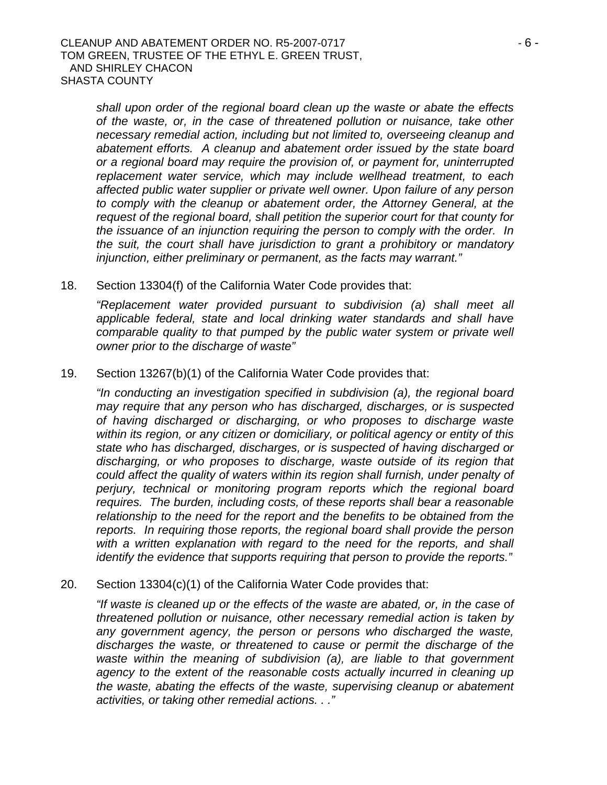*shall upon order of the regional board clean up the waste or abate the effects of the waste, or, in the case of threatened pollution or nuisance, take other necessary remedial action, including but not limited to, overseeing cleanup and abatement efforts. A cleanup and abatement order issued by the state board or a regional board may require the provision of, or payment for, uninterrupted replacement water service, which may include wellhead treatment, to each affected public water supplier or private well owner. Upon failure of any person to comply with the cleanup or abatement order, the Attorney General, at the request of the regional board, shall petition the superior court for that county for the issuance of an injunction requiring the person to comply with the order. In the suit, the court shall have jurisdiction to grant a prohibitory or mandatory injunction, either preliminary or permanent, as the facts may warrant."* 

18. Section 13304(f) of the California Water Code provides that:

*"Replacement water provided pursuant to subdivision (a) shall meet all applicable federal, state and local drinking water standards and shall have comparable quality to that pumped by the public water system or private well owner prior to the discharge of waste"* 

19. Section 13267(b)(1) of the California Water Code provides that:

*"In conducting an investigation specified in subdivision (a), the regional board may require that any person who has discharged, discharges, or is suspected of having discharged or discharging, or who proposes to discharge waste within its region, or any citizen or domiciliary, or political agency or entity of this state who has discharged, discharges, or is suspected of having discharged or discharging, or who proposes to discharge, waste outside of its region that could affect the quality of waters within its region shall furnish, under penalty of perjury, technical or monitoring program reports which the regional board requires. The burden, including costs, of these reports shall bear a reasonable relationship to the need for the report and the benefits to be obtained from the reports. In requiring those reports, the regional board shall provide the person*  with a written explanation with regard to the need for the reports, and shall *identify the evidence that supports requiring that person to provide the reports."* 

20. Section 13304(c)(1) of the California Water Code provides that:

*"If waste is cleaned up or the effects of the waste are abated, or, in the case of threatened pollution or nuisance, other necessary remedial action is taken by any government agency, the person or persons who discharged the waste, discharges the waste, or threatened to cause or permit the discharge of the waste within the meaning of subdivision (a), are liable to that government agency to the extent of the reasonable costs actually incurred in cleaning up the waste, abating the effects of the waste, supervising cleanup or abatement activities, or taking other remedial actions. . ."*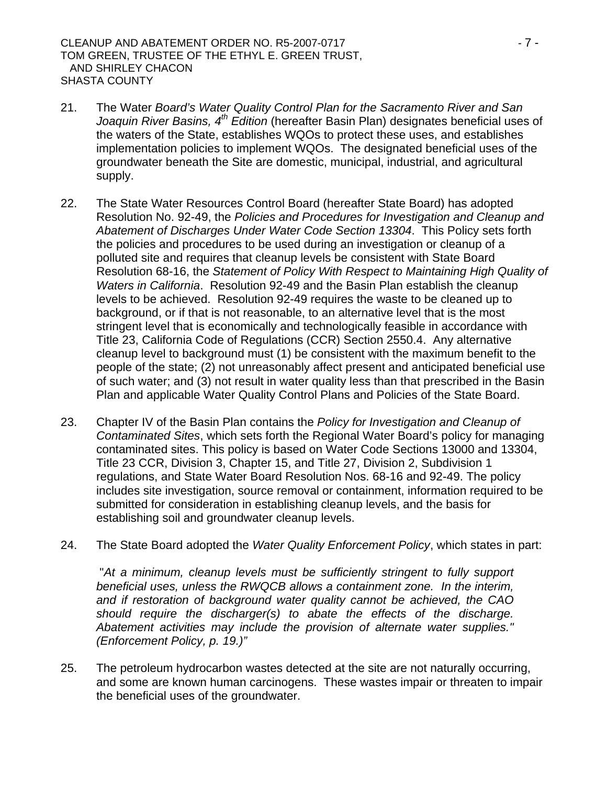CLEANUP AND ABATEMENT ORDER NO. R5-2007-0717 **Face 10 and 5 and 7 and 7 - 7 -** 7 -TOM GREEN, TRUSTEE OF THE ETHYL E. GREEN TRUST, AND SHIRLEY CHACON SHASTA COUNTY

- 21. The Water *Board's Water Quality Control Plan for the Sacramento River and San Joaquin River Basins, 4th Edition* (hereafter Basin Plan) designates beneficial uses of the waters of the State, establishes WQOs to protect these uses, and establishes implementation policies to implement WQOs. The designated beneficial uses of the groundwater beneath the Site are domestic, municipal, industrial, and agricultural supply.
- 22. The State Water Resources Control Board (hereafter State Board) has adopted Resolution No. 92-49, the *Policies and Procedures for Investigation and Cleanup and Abatement of Discharges Under Water Code Section 13304*. This Policy sets forth the policies and procedures to be used during an investigation or cleanup of a polluted site and requires that cleanup levels be consistent with State Board Resolution 68-16, the *Statement of Policy With Respect to Maintaining High Quality of Waters in California*. Resolution 92-49 and the Basin Plan establish the cleanup levels to be achieved. Resolution 92-49 requires the waste to be cleaned up to background, or if that is not reasonable, to an alternative level that is the most stringent level that is economically and technologically feasible in accordance with Title 23, California Code of Regulations (CCR) Section 2550.4. Any alternative cleanup level to background must (1) be consistent with the maximum benefit to the people of the state; (2) not unreasonably affect present and anticipated beneficial use of such water; and (3) not result in water quality less than that prescribed in the Basin Plan and applicable Water Quality Control Plans and Policies of the State Board.
- 23. Chapter IV of the Basin Plan contains the *Policy for Investigation and Cleanup of Contaminated Sites*, which sets forth the Regional Water Board's policy for managing contaminated sites. This policy is based on Water Code Sections 13000 and 13304, Title 23 CCR, Division 3, Chapter 15, and Title 27, Division 2, Subdivision 1 regulations, and State Water Board Resolution Nos. 68-16 and 92-49. The policy includes site investigation, source removal or containment, information required to be submitted for consideration in establishing cleanup levels, and the basis for establishing soil and groundwater cleanup levels.
- 24. The State Board adopted the *Water Quality Enforcement Policy*, which states in part:

 "*At a minimum, cleanup levels must be sufficiently stringent to fully support beneficial uses, unless the RWQCB allows a containment zone. In the interim, and if restoration of background water quality cannot be achieved, the CAO should require the discharger(s) to abate the effects of the discharge. Abatement activities may include the provision of alternate water supplies." (Enforcement Policy, p. 19.)"*

25. The petroleum hydrocarbon wastes detected at the site are not naturally occurring, and some are known human carcinogens. These wastes impair or threaten to impair the beneficial uses of the groundwater.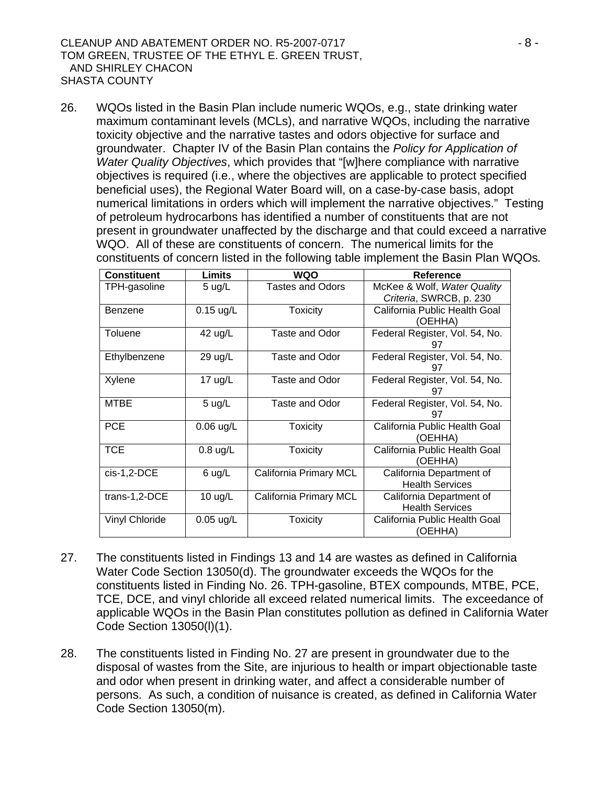26. WQOs listed in the Basin Plan include numeric WQOs, e.g., state drinking water maximum contaminant levels (MCLs), and narrative WQOs, including the narrative toxicity objective and the narrative tastes and odors objective for surface and groundwater. Chapter IV of the Basin Plan contains the *Policy for Application of Water Quality Objectives*, which provides that "[w]here compliance with narrative objectives is required (i.e., where the objectives are applicable to protect specified beneficial uses), the Regional Water Board will, on a case-by-case basis, adopt numerical limitations in orders which will implement the narrative objectives." Testing of petroleum hydrocarbons has identified a number of constituents that are not present in groundwater unaffected by the discharge and that could exceed a narrative WQO. All of these are constituents of concern. The numerical limits for the constituents of concern listed in the following table implement the Basin Plan WQOs*.*

| <b>Constituent</b>    | <b>Limits</b>     | WQO                     | <b>Reference</b>                                       |
|-----------------------|-------------------|-------------------------|--------------------------------------------------------|
| TPH-gasoline          | 5 $\mu$ g/L       | <b>Tastes and Odors</b> | McKee & Wolf, Water Quality<br>Criteria, SWRCB, p. 230 |
| Benzene               | $0.15$ ug/L       | <b>Toxicity</b>         | California Public Health Goal<br>(OEHHA)               |
| Toluene               | 42 ug/L           | Taste and Odor          | Federal Register, Vol. 54, No.<br>97                   |
| Ethylbenzene          | 29 ug/L           | Taste and Odor          | Federal Register, Vol. 54, No.<br>97                   |
| Xylene                | 17 $ug/L$         | Taste and Odor          | Federal Register, Vol. 54, No.<br>97                   |
| <b>MTBE</b>           | $5$ ug/L          | Taste and Odor          | Federal Register, Vol. 54, No.<br>97                   |
| <b>PCE</b>            | $0.06$ ug/L       | <b>Toxicity</b>         | California Public Health Goal<br>(OEHHA)               |
| <b>TCE</b>            | $0.8$ ug/L        | Toxicity                | California Public Health Goal<br>(OEHHA)               |
| $cis-1,2-DCE$         | $6$ ug/L          | California Primary MCL  | California Department of<br><b>Health Services</b>     |
| trans-1,2-DCE         | $10 \text{ ug/L}$ | California Primary MCL  | California Department of<br><b>Health Services</b>     |
| <b>Vinyl Chloride</b> | $0.05$ ug/L       | <b>Toxicity</b>         | California Public Health Goal<br>(OEHHA)               |

- 27. The constituents listed in Findings 13 and 14 are wastes as defined in California Water Code Section 13050(d). The groundwater exceeds the WQOs for the constituents listed in Finding No. 26. TPH-gasoline, BTEX compounds, MTBE, PCE, TCE, DCE, and vinyl chloride all exceed related numerical limits.The exceedance of applicable WQOs in the Basin Plan constitutes pollution as defined in California Water Code Section 13050(l)(1).
- 28. The constituents listed in Finding No. 27 are present in groundwater due to the disposal of wastes from the Site, are injurious to health or impart objectionable taste and odor when present in drinking water, and affect a considerable number of persons. As such, a condition of nuisance is created, as defined in California Water Code Section 13050(m).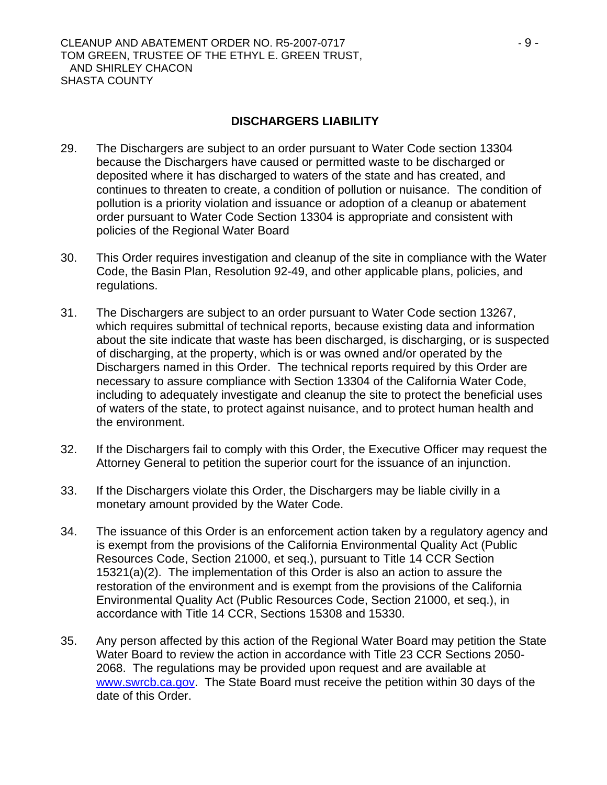#### **DISCHARGERS LIABILITY**

- 29. The Dischargers are subject to an order pursuant to Water Code section 13304 because the Dischargers have caused or permitted waste to be discharged or deposited where it has discharged to waters of the state and has created, and continues to threaten to create, a condition of pollution or nuisance. The condition of pollution is a priority violation and issuance or adoption of a cleanup or abatement order pursuant to Water Code Section 13304 is appropriate and consistent with policies of the Regional Water Board
- 30. This Order requires investigation and cleanup of the site in compliance with the Water Code, the Basin Plan, Resolution 92-49, and other applicable plans, policies, and regulations.
- 31. The Dischargers are subject to an order pursuant to Water Code section 13267, which requires submittal of technical reports, because existing data and information about the site indicate that waste has been discharged, is discharging, or is suspected of discharging, at the property, which is or was owned and/or operated by the Dischargers named in this Order. The technical reports required by this Order are necessary to assure compliance with Section 13304 of the California Water Code, including to adequately investigate and cleanup the site to protect the beneficial uses of waters of the state, to protect against nuisance, and to protect human health and the environment.
- 32. If the Dischargers fail to comply with this Order, the Executive Officer may request the Attorney General to petition the superior court for the issuance of an injunction.
- 33. If the Dischargers violate this Order, the Dischargers may be liable civilly in a monetary amount provided by the Water Code.
- 34. The issuance of this Order is an enforcement action taken by a regulatory agency and is exempt from the provisions of the California Environmental Quality Act (Public Resources Code, Section 21000, et seq.), pursuant to Title 14 CCR Section 15321(a)(2). The implementation of this Order is also an action to assure the restoration of the environment and is exempt from the provisions of the California Environmental Quality Act (Public Resources Code, Section 21000, et seq.), in accordance with Title 14 CCR, Sections 15308 and 15330.
- 35. Any person affected by this action of the Regional Water Board may petition the State Water Board to review the action in accordance with Title 23 CCR Sections 2050- 2068. The regulations may be provided upon request and are available at [www.swrcb.ca.gov.](http://www.swrcb.ca.gov/) The State Board must receive the petition within 30 days of the date of this Order.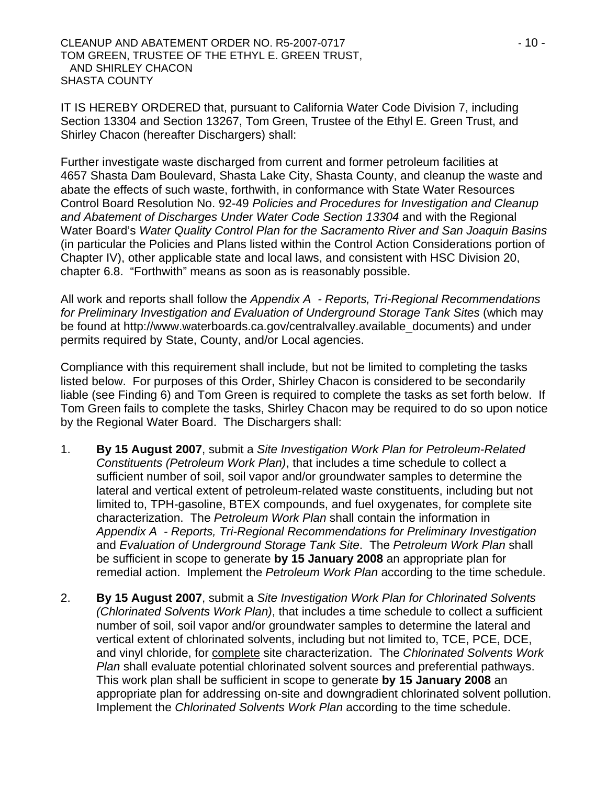CLEANUP AND ABATEMENT ORDER NO. R5-2007-0717 4 10 -TOM GREEN, TRUSTEE OF THE ETHYL E. GREEN TRUST, AND SHIRLEY CHACON SHASTA COUNTY

IT IS HEREBY ORDERED that, pursuant to California Water Code Division 7, including Section 13304 and Section 13267, Tom Green, Trustee of the Ethyl E. Green Trust, and Shirley Chacon (hereafter Dischargers) shall:

Further investigate waste discharged from current and former petroleum facilities at 4657 Shasta Dam Boulevard, Shasta Lake City, Shasta County, and cleanup the waste and abate the effects of such waste, forthwith, in conformance with State Water Resources Control Board Resolution No. 92-49 *Policies and Procedures for Investigation and Cleanup*  and Abatement of Discharges Under Water Code Section 13304 and with the Regional Water Board's *Water Quality Control Plan for the Sacramento River and San Joaquin Basins* (in particular the Policies and Plans listed within the Control Action Considerations portion of Chapter IV), other applicable state and local laws, and consistent with HSC Division 20, chapter 6.8. "Forthwith" means as soon as is reasonably possible.

All work and reports shall follow the *Appendix A - Reports, Tri-Regional Recommendations for Preliminary Investigation and Evaluation of Underground Storage Tank Sites* (which may be found at http://www.waterboards.ca.gov/centralvalley.available\_documents) and under permits required by State, County, and/or Local agencies.

Compliance with this requirement shall include, but not be limited to completing the tasks listed below. For purposes of this Order, Shirley Chacon is considered to be secondarily liable (see Finding 6) and Tom Green is required to complete the tasks as set forth below. If Tom Green fails to complete the tasks, Shirley Chacon may be required to do so upon notice by the Regional Water Board. The Dischargers shall:

- 1. **By 15 August 2007**, submit a *Site Investigation Work Plan for Petroleum-Related Constituents (Petroleum Work Plan)*, that includes a time schedule to collect a sufficient number of soil, soil vapor and/or groundwater samples to determine the lateral and vertical extent of petroleum-related waste constituents, including but not limited to, TPH-gasoline, BTEX compounds, and fuel oxygenates, for complete site characterization. The *Petroleum Work Plan* shall contain the information in *Appendix A - Reports, Tri-Regional Recommendations for Preliminary Investigation*  and *Evaluation of Underground Storage Tank Site*. The *Petroleum Work Plan* shall be sufficient in scope to generate **by 15 January 2008** an appropriate plan for remedial action. Implement the *Petroleum Work Plan* according to the time schedule.
- 2. **By 15 August 2007**, submit a *Site Investigation Work Plan for Chlorinated Solvents (Chlorinated Solvents Work Plan)*, that includes a time schedule to collect a sufficient number of soil, soil vapor and/or groundwater samples to determine the lateral and vertical extent of chlorinated solvents, including but not limited to, TCE, PCE, DCE, and vinyl chloride, for complete site characterization. The *Chlorinated Solvents Work Plan* shall evaluate potential chlorinated solvent sources and preferential pathways. This work plan shall be sufficient in scope to generate **by 15 January 2008** an appropriate plan for addressing on-site and downgradient chlorinated solvent pollution. Implement the *Chlorinated Solvents Work Plan* according to the time schedule.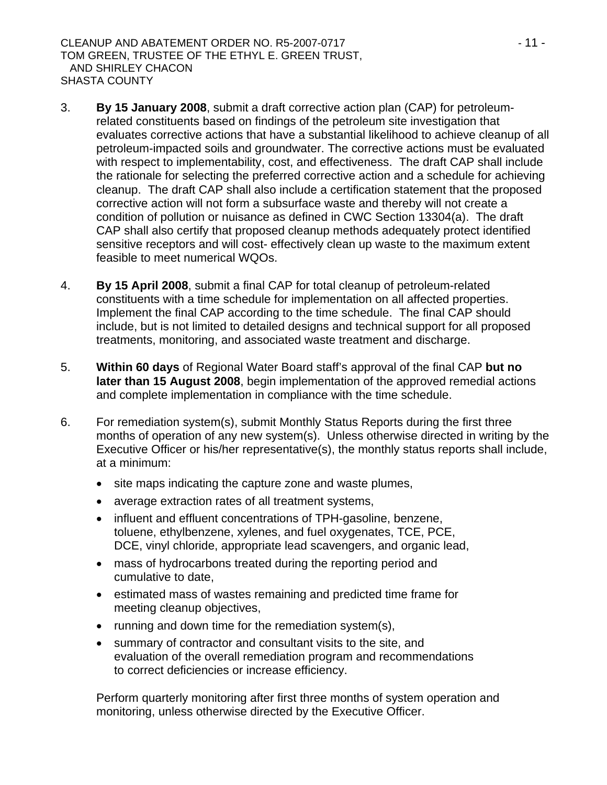- 3. **By 15 January 2008**, submit a draft corrective action plan (CAP) for petroleumrelated constituents based on findings of the petroleum site investigation that evaluates corrective actions that have a substantial likelihood to achieve cleanup of all petroleum-impacted soils and groundwater. The corrective actions must be evaluated with respect to implementability, cost, and effectiveness. The draft CAP shall include the rationale for selecting the preferred corrective action and a schedule for achieving cleanup. The draft CAP shall also include a certification statement that the proposed corrective action will not form a subsurface waste and thereby will not create a condition of pollution or nuisance as defined in CWC Section 13304(a). The draft CAP shall also certify that proposed cleanup methods adequately protect identified sensitive receptors and will cost- effectively clean up waste to the maximum extent feasible to meet numerical WQOs.
- 4. **By 15 April 2008**, submit a final CAP for total cleanup of petroleum-related constituents with a time schedule for implementation on all affected properties. Implement the final CAP according to the time schedule. The final CAP should include, but is not limited to detailed designs and technical support for all proposed treatments, monitoring, and associated waste treatment and discharge.
- 5. **Within 60 days** of Regional Water Board staff's approval of the final CAP **but no later than 15 August 2008**, begin implementation of the approved remedial actions and complete implementation in compliance with the time schedule.
- 6. For remediation system(s), submit Monthly Status Reports during the first three months of operation of any new system(s). Unless otherwise directed in writing by the Executive Officer or his/her representative(s), the monthly status reports shall include, at a minimum:
	- site maps indicating the capture zone and waste plumes,
	- average extraction rates of all treatment systems,
	- influent and effluent concentrations of TPH-gasoline, benzene, toluene, ethylbenzene, xylenes, and fuel oxygenates, TCE, PCE, DCE, vinyl chloride, appropriate lead scavengers, and organic lead,
	- mass of hydrocarbons treated during the reporting period and cumulative to date,
	- estimated mass of wastes remaining and predicted time frame for meeting cleanup objectives,
	- running and down time for the remediation system(s),
	- summary of contractor and consultant visits to the site, and evaluation of the overall remediation program and recommendations to correct deficiencies or increase efficiency.

Perform quarterly monitoring after first three months of system operation and monitoring, unless otherwise directed by the Executive Officer.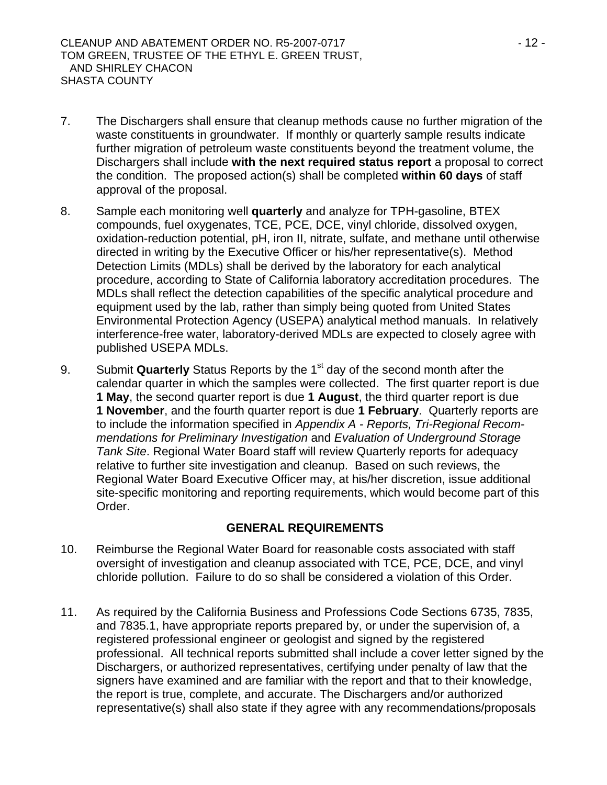- 7. The Dischargers shall ensure that cleanup methods cause no further migration of the waste constituents in groundwater. If monthly or quarterly sample results indicate further migration of petroleum waste constituents beyond the treatment volume, the Dischargers shall include **with the next required status report** a proposal to correct the condition. The proposed action(s) shall be completed **within 60 days** of staff approval of the proposal.
- 8. Sample each monitoring well **quarterly** and analyze for TPH-gasoline, BTEX compounds, fuel oxygenates, TCE, PCE, DCE, vinyl chloride, dissolved oxygen, oxidation-reduction potential, pH, iron II, nitrate, sulfate, and methane until otherwise directed in writing by the Executive Officer or his/her representative(s). Method Detection Limits (MDLs) shall be derived by the laboratory for each analytical procedure, according to State of California laboratory accreditation procedures. The MDLs shall reflect the detection capabilities of the specific analytical procedure and equipment used by the lab, rather than simply being quoted from United States Environmental Protection Agency (USEPA) analytical method manuals. In relatively interference-free water, laboratory-derived MDLs are expected to closely agree with published USEPA MDLs.
- 9. Submit **Quarterly** Status Reports by the 1<sup>st</sup> day of the second month after the calendar quarter in which the samples were collected. The first quarter report is due **1 May**, the second quarter report is due **1 August**, the third quarter report is due **1 November**, and the fourth quarter report is due **1 February**. Quarterly reports are to include the information specified in *Appendix A - Reports, Tri-Regional Recommendations for Preliminary Investigation* and *Evaluation of Underground Storage Tank Site*. Regional Water Board staff will review Quarterly reports for adequacy relative to further site investigation and cleanup. Based on such reviews, the Regional Water Board Executive Officer may, at his/her discretion, issue additional site-specific monitoring and reporting requirements, which would become part of this Order.

#### **GENERAL REQUIREMENTS**

- 10. Reimburse the Regional Water Board for reasonable costs associated with staff oversight of investigation and cleanup associated with TCE, PCE, DCE, and vinyl chloride pollution. Failure to do so shall be considered a violation of this Order.
- 11. As required by the California Business and Professions Code Sections 6735, 7835, and 7835.1, have appropriate reports prepared by, or under the supervision of, a registered professional engineer or geologist and signed by the registered professional. All technical reports submitted shall include a cover letter signed by the Dischargers, or authorized representatives, certifying under penalty of law that the signers have examined and are familiar with the report and that to their knowledge, the report is true, complete, and accurate. The Dischargers and/or authorized representative(s) shall also state if they agree with any recommendations/proposals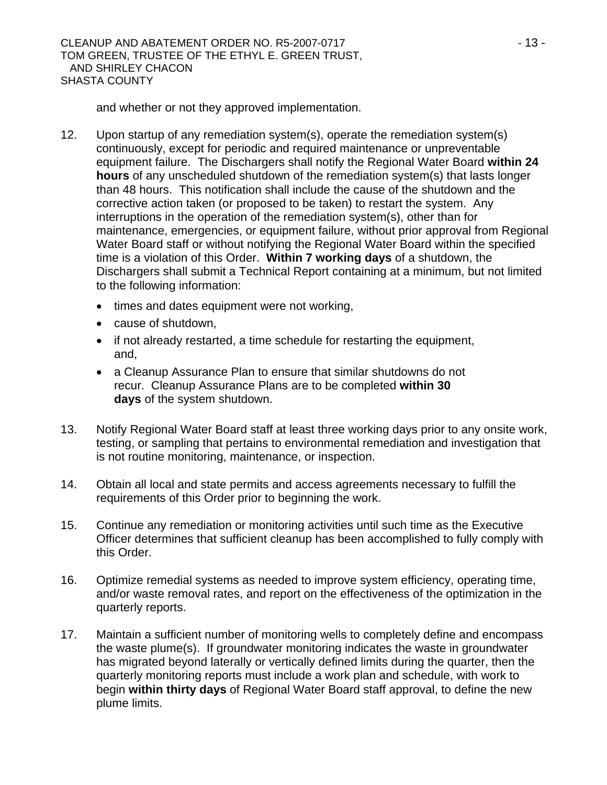CLEANUP AND ABATEMENT ORDER NO. R5-2007-0717 4 13 -TOM GREEN, TRUSTEE OF THE ETHYL E. GREEN TRUST, AND SHIRLEY CHACON SHASTA COUNTY

and whether or not they approved implementation.

- 12. Upon startup of any remediation system(s), operate the remediation system(s) continuously, except for periodic and required maintenance or unpreventable equipment failure. The Dischargers shall notify the Regional Water Board **within 24 hours** of any unscheduled shutdown of the remediation system(s) that lasts longer than 48 hours. This notification shall include the cause of the shutdown and the corrective action taken (or proposed to be taken) to restart the system. Any interruptions in the operation of the remediation system(s), other than for maintenance, emergencies, or equipment failure, without prior approval from Regional Water Board staff or without notifying the Regional Water Board within the specified time is a violation of this Order. **Within 7 working days** of a shutdown, the Dischargers shall submit a Technical Report containing at a minimum, but not limited to the following information:
	- times and dates equipment were not working,
	- cause of shutdown,
	- if not already restarted, a time schedule for restarting the equipment, and,
	- a Cleanup Assurance Plan to ensure that similar shutdowns do not recur. Cleanup Assurance Plans are to be completed **within 30 days** of the system shutdown.
- 13. Notify Regional Water Board staff at least three working days prior to any onsite work, testing, or sampling that pertains to environmental remediation and investigation that is not routine monitoring, maintenance, or inspection.
- 14. Obtain all local and state permits and access agreements necessary to fulfill the requirements of this Order prior to beginning the work.
- 15. Continue any remediation or monitoring activities until such time as the Executive Officer determines that sufficient cleanup has been accomplished to fully comply with this Order.
- 16. Optimize remedial systems as needed to improve system efficiency, operating time, and/or waste removal rates, and report on the effectiveness of the optimization in the quarterly reports.
- 17. Maintain a sufficient number of monitoring wells to completely define and encompass the waste plume(s). If groundwater monitoring indicates the waste in groundwater has migrated beyond laterally or vertically defined limits during the quarter, then the quarterly monitoring reports must include a work plan and schedule, with work to begin **within thirty days** of Regional Water Board staff approval, to define the new plume limits.